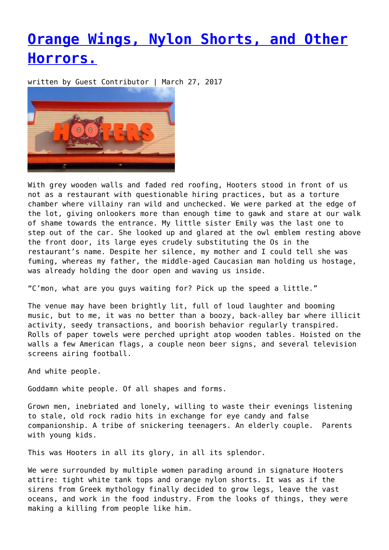## **[Orange Wings, Nylon Shorts, and Other](https://entropymag.org/orange-wings-nylon-shorts-and-other-horrors/) [Horrors.](https://entropymag.org/orange-wings-nylon-shorts-and-other-horrors/)**

written by Guest Contributor | March 27, 2017



With grey wooden walls and faded red roofing, Hooters stood in front of us not as a restaurant with questionable hiring practices, but as a torture chamber where villainy ran wild and unchecked. We were parked at the edge of the lot, giving onlookers more than enough time to gawk and stare at our walk of shame towards the entrance. My little sister Emily was the last one to step out of the car. She looked up and glared at the owl emblem resting above the front door, its large eyes crudely substituting the Os in the restaurant's name. Despite her silence, my mother and I could tell she was fuming, whereas my father, the middle-aged Caucasian man holding us hostage, was already holding the door open and waving us inside.

"C'mon, what are you guys waiting for? Pick up the speed a little."

The venue may have been brightly lit, full of loud laughter and booming music, but to me, it was no better than a boozy, back-alley bar where illicit activity, seedy transactions, and boorish behavior regularly transpired. Rolls of paper towels were perched upright atop wooden tables. Hoisted on the walls a few American flags, a couple neon beer signs, and several television screens airing football.

And white people.

Goddamn white people. Of all shapes and forms.

Grown men, inebriated and lonely, willing to waste their evenings listening to stale, old rock radio hits in exchange for eye candy and false companionship. A tribe of snickering teenagers. An elderly couple. Parents with young kids.

This was Hooters in all its glory, in all its splendor.

We were surrounded by multiple women parading around in signature Hooters attire: tight white tank tops and orange nylon shorts. It was as if the sirens from Greek mythology finally decided to grow legs, leave the vast oceans, and work in the food industry. From the looks of things, they were making a killing from people like him.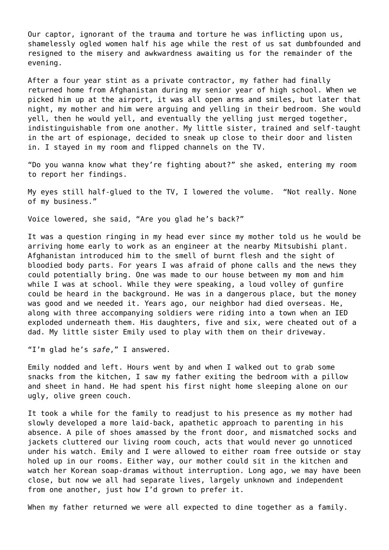Our captor, ignorant of the trauma and torture he was inflicting upon us, shamelessly ogled women half his age while the rest of us sat dumbfounded and resigned to the misery and awkwardness awaiting us for the remainder of the evening.

After a four year stint as a private contractor, my father had finally returned home from Afghanistan during my senior year of high school. When we picked him up at the airport, it was all open arms and smiles, but later that night, my mother and him were arguing and yelling in their bedroom. She would yell, then he would yell, and eventually the yelling just merged together, indistinguishable from one another. My little sister, trained and self-taught in the art of espionage, decided to sneak up close to their door and listen in. I stayed in my room and flipped channels on the TV.

"Do you wanna know what they're fighting about?" she asked, entering my room to report her findings.

My eyes still half-glued to the TV, I lowered the volume. "Not really. None of my business."

Voice lowered, she said, "Are you glad he's back?"

It was a question ringing in my head ever since my mother told us he would be arriving home early to work as an engineer at the nearby Mitsubishi plant. Afghanistan introduced him to the smell of burnt flesh and the sight of bloodied body parts. For years I was afraid of phone calls and the news they could potentially bring. One was made to our house between my mom and him while I was at school. While they were speaking, a loud volley of gunfire could be heard in the background. He was in a dangerous place, but the money was good and we needed it. Years ago, our neighbor had died overseas. He, along with three accompanying soldiers were riding into a town when an IED exploded underneath them. His daughters, five and six, were cheated out of a dad. My little sister Emily used to play with them on their driveway.

"I'm glad he's *safe*," I answered.

Emily nodded and left. Hours went by and when I walked out to grab some snacks from the kitchen, I saw my father exiting the bedroom with a pillow and sheet in hand. He had spent his first night home sleeping alone on our ugly, olive green couch.

It took a while for the family to readjust to his presence as my mother had slowly developed a more laid-back, apathetic approach to parenting in his absence. A pile of shoes amassed by the front door, and mismatched socks and jackets cluttered our living room couch, acts that would never go unnoticed under his watch. Emily and I were allowed to either roam free outside or stay holed up in our rooms. Either way, our mother could sit in the kitchen and watch her Korean soap-dramas without interruption. Long ago, we may have been close, but now we all had separate lives, largely unknown and independent from one another, just how I'd grown to prefer it.

When my father returned we were all expected to dine together as a family.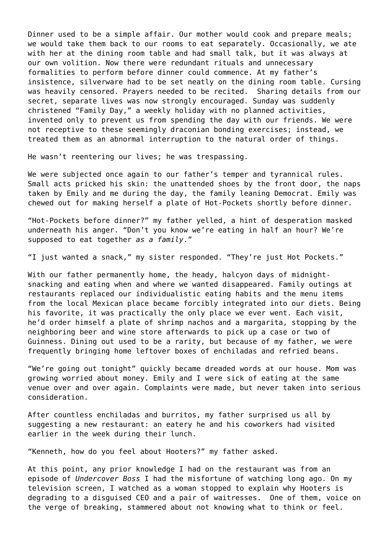Dinner used to be a simple affair. Our mother would cook and prepare meals; we would take them back to our rooms to eat separately. Occasionally, we ate with her at the dining room table and had small talk, but it was always at our own volition. Now there were redundant rituals and unnecessary formalities to perform before dinner could commence. At my father's insistence, silverware had to be set neatly on the dining room table. Cursing was heavily censored. Prayers needed to be recited. Sharing details from our secret, separate lives was now strongly encouraged. Sunday was suddenly christened "Family Day," a weekly holiday with no planned activities, invented only to prevent us from spending the day with our friends. We were not receptive to these seemingly draconian bonding exercises; instead, we treated them as an abnormal interruption to the natural order of things.

He wasn't reentering our lives; he was trespassing.

We were subjected once again to our father's temper and tyrannical rules. Small acts pricked his skin: the unattended shoes by the front door, the naps taken by Emily and me during the day, the family leaning Democrat. Emily was chewed out for making herself a plate of Hot-Pockets shortly before dinner.

"Hot-Pockets before dinner?" my father yelled, a hint of desperation masked underneath his anger. "Don't you know we're eating in half an hour? We're supposed to eat together *as a family*."

"I just wanted a snack," my sister responded. "They're just Hot Pockets."

With our father permanently home, the heady, halcyon days of midnightsnacking and eating when and where we wanted disappeared. Family outings at restaurants replaced our individualistic eating habits and the menu items from the local Mexican place became forcibly integrated into our diets. Being his favorite, it was practically the only place we ever went. Each visit, he'd order himself a plate of shrimp nachos and a margarita, stopping by the neighboring beer and wine store afterwards to pick up a case or two of Guinness. Dining out used to be a rarity, but because of my father, we were frequently bringing home leftover boxes of enchiladas and refried beans.

"We're going out tonight" quickly became dreaded words at our house. Mom was growing worried about money. Emily and I were sick of eating at the same venue over and over again. Complaints were made, but never taken into serious consideration.

After countless enchiladas and burritos, my father surprised us all by suggesting a new restaurant: an eatery he and his coworkers had visited earlier in the week during their lunch.

"Kenneth, how do you feel about Hooters?" my father asked.

At this point, any prior knowledge I had on the restaurant was from an episode of *Undercover Boss* I had the misfortune of watching long ago. On my television screen, I watched as a woman stopped to explain why Hooters is degrading to a disguised CEO and a pair of waitresses. One of them, voice on the verge of breaking, stammered about not knowing what to think or feel.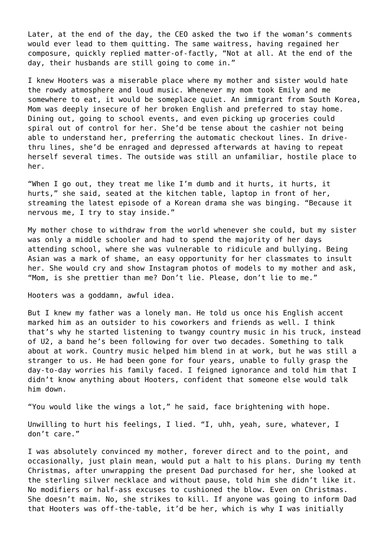Later, at the end of the day, the CEO asked the two if the woman's comments would ever lead to them quitting. The same waitress, having regained her composure, quickly replied matter-of-factly, "Not at all. At the end of the day, their husbands are still going to come in."

I knew Hooters was a miserable place where my mother and sister would hate the rowdy atmosphere and loud music. Whenever my mom took Emily and me somewhere to eat, it would be someplace quiet. An immigrant from South Korea, Mom was deeply insecure of her broken English and preferred to stay home. Dining out, going to school events, and even picking up groceries could spiral out of control for her. She'd be tense about the cashier not being able to understand her, preferring the automatic checkout lines. In drivethru lines, she'd be enraged and depressed afterwards at having to repeat herself several times. The outside was still an unfamiliar, hostile place to her.

"When I go out, they treat me like I'm dumb and it hurts, it hurts, it hurts," she said, seated at the kitchen table, laptop in front of her, streaming the latest episode of a Korean drama she was binging. "Because it nervous me, I try to stay inside."

My mother chose to withdraw from the world whenever she could, but my sister was only a middle schooler and had to spend the majority of her days attending school, where she was vulnerable to ridicule and bullying. Being Asian was a mark of shame, an easy opportunity for her classmates to insult her. She would cry and show Instagram photos of models to my mother and ask, "Mom, is she prettier than me? Don't lie. Please, don't lie to me."

Hooters was a goddamn, awful idea.

But I knew my father was a lonely man. He told us once his English accent marked him as an outsider to his coworkers and friends as well. I think that's why he started listening to twangy country music in his truck, instead of U2, a band he's been following for over two decades. Something to talk about at work. Country music helped him blend in at work, but he was still a stranger to us. He had been gone for four years, unable to fully grasp the day-to-day worries his family faced. I feigned ignorance and told him that I didn't know anything about Hooters, confident that someone else would talk him down.

"You would like the wings a lot," he said, face brightening with hope.

Unwilling to hurt his feelings, I lied. "I, uhh, yeah, sure, whatever, I don't care."

I was absolutely convinced my mother, forever direct and to the point, and occasionally, just plain mean, would put a halt to his plans. During my tenth Christmas, after unwrapping the present Dad purchased for her, she looked at the sterling silver necklace and without pause, told him she didn't like it. No modifiers or half-ass excuses to cushioned the blow. Even on Christmas. She doesn't maim. No, she strikes to kill. If anyone was going to inform Dad that Hooters was off-the-table, it'd be her, which is why I was initially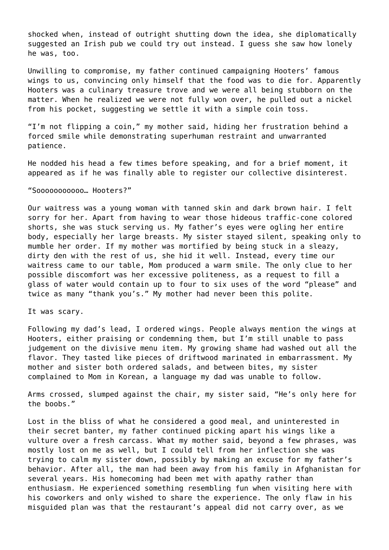shocked when, instead of outright shutting down the idea, she diplomatically suggested an Irish pub we could try out instead. I guess she saw how lonely he was, too.

Unwilling to compromise, my father continued campaigning Hooters' famous wings to us, convincing only himself that the food was to die for. Apparently Hooters was a culinary treasure trove and we were all being stubborn on the matter. When he realized we were not fully won over, he pulled out a nickel from his pocket, suggesting we settle it with a simple coin toss.

"I'm not flipping a coin," my mother said, hiding her frustration behind a forced smile while demonstrating superhuman restraint and unwarranted patience.

He nodded his head a few times before speaking, and for a brief moment, it appeared as if he was finally able to register our collective disinterest.

## "Sooooooooooo… Hooters?"

Our waitress was a young woman with tanned skin and dark brown hair. I felt sorry for her. Apart from having to wear those hideous traffic-cone colored shorts, she was stuck serving us. My father's eyes were ogling her entire body, especially her large breasts. My sister stayed silent, speaking only to mumble her order. If my mother was mortified by being stuck in a sleazy, dirty den with the rest of us, she hid it well. Instead, every time our waitress came to our table, Mom produced a warm smile. The only clue to her possible discomfort was her excessive politeness, as a request to fill a glass of water would contain up to four to six uses of the word "please" and twice as many "thank you's." My mother had never been this polite.

It was scary.

Following my dad's lead, I ordered wings. People always mention the wings at Hooters, either praising or condemning them, but I'm still unable to pass judgement on the divisive menu item. My growing shame had washed out all the flavor. They tasted like pieces of driftwood marinated in embarrassment. My mother and sister both ordered salads, and between bites, my sister complained to Mom in Korean, a language my dad was unable to follow.

Arms crossed, slumped against the chair, my sister said, "He's only here for the boobs."

Lost in the bliss of what he considered a good meal, and uninterested in their secret banter, my father continued picking apart his wings like a vulture over a fresh carcass. What my mother said, beyond a few phrases, was mostly lost on me as well, but I could tell from her inflection she was trying to calm my sister down, possibly by making an excuse for my father's behavior. After all, the man had been away from his family in Afghanistan for several years. His homecoming had been met with apathy rather than enthusiasm. He experienced something resembling fun when visiting here with his coworkers and only wished to share the experience. The only flaw in his misguided plan was that the restaurant's appeal did not carry over, as we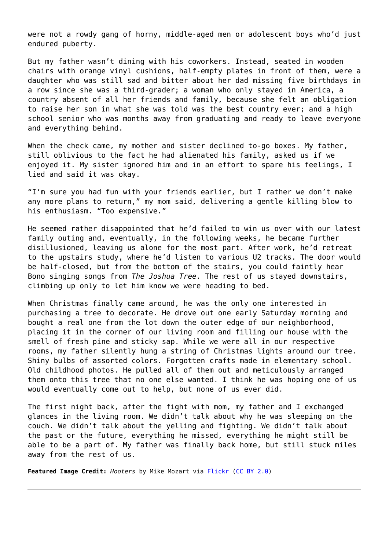were not a rowdy gang of horny, middle-aged men or adolescent boys who'd just endured puberty.

But my father wasn't dining with his coworkers. Instead, seated in wooden chairs with orange vinyl cushions, half-empty plates in front of them, were a daughter who was still sad and bitter about her dad missing five birthdays in a row since she was a third-grader; a woman who only stayed in America, a country absent of all her friends and family, because she felt an obligation to raise her son in what she was told was the best country ever; and a high school senior who was months away from graduating and ready to leave everyone and everything behind.

When the check came, my mother and sister declined to-go boxes. My father, still oblivious to the fact he had alienated his family, asked us if we enjoyed it. My sister ignored him and in an effort to spare his feelings, I lied and said it was okay.

"I'm sure you had fun with your friends earlier, but I rather we don't make any more plans to return," my mom said, delivering a gentle killing blow to his enthusiasm. "Too expensive."

He seemed rather disappointed that he'd failed to win us over with our latest family outing and, eventually, in the following weeks, he became further disillusioned, leaving us alone for the most part. After work, he'd retreat to the upstairs study, where he'd listen to various U2 tracks. The door would be half-closed, but from the bottom of the stairs, you could faintly hear Bono singing songs from *The Joshua Tree*. The rest of us stayed downstairs, climbing up only to let him know we were heading to bed.

When Christmas finally came around, he was the only one interested in purchasing a tree to decorate. He drove out one early Saturday morning and bought a real one from the lot down the outer edge of our neighborhood, placing it in the corner of our living room and filling our house with the smell of fresh pine and sticky sap. While we were all in our respective rooms, my father silently hung a string of Christmas lights around our tree. Shiny bulbs of assorted colors. Forgotten crafts made in elementary school. Old childhood photos. He pulled all of them out and meticulously arranged them onto this tree that no one else wanted. I think he was hoping one of us would eventually come out to help, but none of us ever did.

The first night back, after the fight with mom, my father and I exchanged glances in the living room. We didn't talk about why he was sleeping on the couch. We didn't talk about the yelling and fighting. We didn't talk about the past or the future, everything he missed, everything he might still be able to be a part of. My father was finally back home, but still stuck miles away from the rest of us.

Featured Image Credit: *Hooters* by Mike Mozart via **Flickr** [\(CC BY 2.0\)](https://creativecommons.org/licenses/by/2.0/)